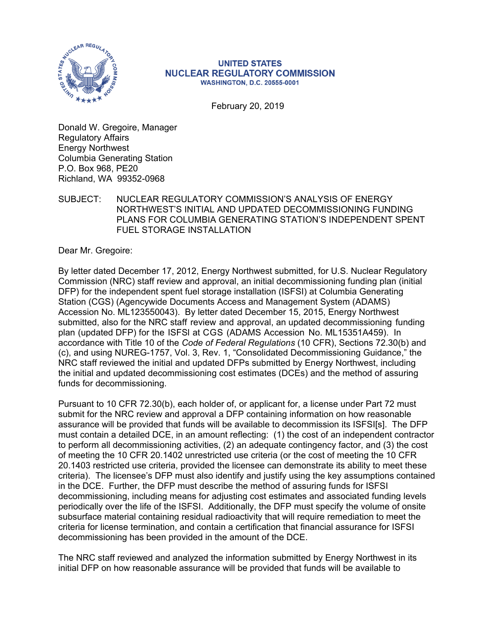

#### **UNITED STATES NUCLEAR REGULATORY COMMISSION WASHINGTON, D.C. 20555-0001**

February 20, 2019

Donald W. Gregoire, Manager Regulatory Affairs Energy Northwest Columbia Generating Station P.O. Box 968, PE20 Richland, WA 99352-0968

SUBJECT: NUCLEAR REGULATORY COMMISSION'S ANALYSIS OF ENERGY NORTHWEST'S INITIAL AND UPDATED DECOMMISSIONING FUNDING PLANS FOR COLUMBIA GENERATING STATION'S INDEPENDENT SPENT FUEL STORAGE INSTALLATION

Dear Mr. Gregoire:

By letter dated December 17, 2012, Energy Northwest submitted, for U.S. Nuclear Regulatory Commission (NRC) staff review and approval, an initial decommissioning funding plan (initial DFP) for the independent spent fuel storage installation (ISFSI) at Columbia Generating Station (CGS) (Agencywide Documents Access and Management System (ADAMS) Accession No. ML123550043). By letter dated December 15, 2015, Energy Northwest submitted, also for the NRC staff review and approval, an updated decommissioning funding plan (updated DFP) for the ISFSl at CGS (ADAMS Accession No. ML15351A459). In accordance with Title 10 of the *Code of Federal Regulations* (10 CFR), Sections 72.30(b) and (c), and using NUREG-1757, Vol. 3, Rev. 1, "Consolidated Decommissioning Guidance," the NRC staff reviewed the initial and updated DFPs submitted by Energy Northwest, including the initial and updated decommissioning cost estimates (DCEs) and the method of assuring funds for decommissioning.

Pursuant to 10 CFR 72.30(b), each holder of, or applicant for, a license under Part 72 must submit for the NRC review and approval a DFP containing information on how reasonable assurance will be provided that funds will be available to decommission its ISFSI[s]. The DFP must contain a detailed DCE, in an amount reflecting: (1) the cost of an independent contractor to perform all decommissioning activities, (2) an adequate contingency factor, and (3) the cost of meeting the 10 CFR 20.1402 unrestricted use criteria (or the cost of meeting the 10 CFR 20.1403 restricted use criteria, provided the licensee can demonstrate its ability to meet these criteria). The licensee's DFP must also identify and justify using the key assumptions contained in the DCE. Further, the DFP must describe the method of assuring funds for ISFSI decommissioning, including means for adjusting cost estimates and associated funding levels periodically over the life of the ISFSI. Additionally, the DFP must specify the volume of onsite subsurface material containing residual radioactivity that will require remediation to meet the criteria for license termination, and contain a certification that financial assurance for ISFSI decommissioning has been provided in the amount of the DCE.

The NRC staff reviewed and analyzed the information submitted by Energy Northwest in its initial DFP on how reasonable assurance will be provided that funds will be available to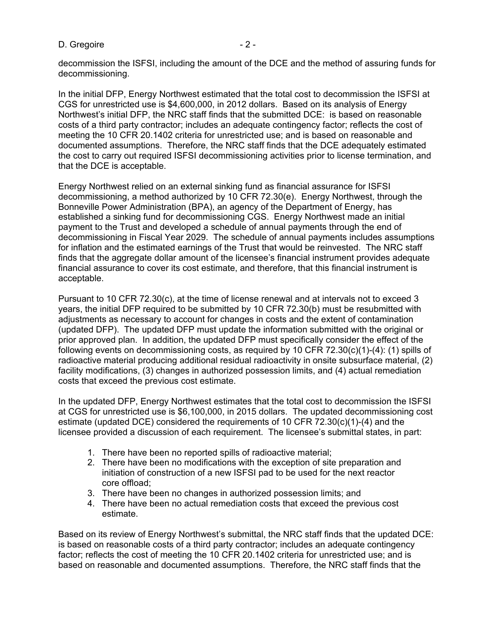### D. Gregoire  $-2 -$

decommission the ISFSI, including the amount of the DCE and the method of assuring funds for decommissioning.

In the initial DFP, Energy Northwest estimated that the total cost to decommission the ISFSI at CGS for unrestricted use is \$4,600,000, in 2012 dollars. Based on its analysis of Energy Northwest's initial DFP, the NRC staff finds that the submitted DCE: is based on reasonable costs of a third party contractor; includes an adequate contingency factor; reflects the cost of meeting the 10 CFR 20.1402 criteria for unrestricted use; and is based on reasonable and documented assumptions. Therefore, the NRC staff finds that the DCE adequately estimated the cost to carry out required ISFSI decommissioning activities prior to license termination, and that the DCE is acceptable.

Energy Northwest relied on an external sinking fund as financial assurance for ISFSI decommissioning, a method authorized by 10 CFR 72.30(e). Energy Northwest, through the Bonneville Power Administration (BPA), an agency of the Department of Energy, has established a sinking fund for decommissioning CGS. Energy Northwest made an initial payment to the Trust and developed a schedule of annual payments through the end of decommissioning in Fiscal Year 2029. The schedule of annual payments includes assumptions for inflation and the estimated earnings of the Trust that would be reinvested. The NRC staff finds that the aggregate dollar amount of the licensee's financial instrument provides adequate financial assurance to cover its cost estimate, and therefore, that this financial instrument is acceptable.

Pursuant to 10 CFR 72.30(c), at the time of license renewal and at intervals not to exceed 3 years, the initial DFP required to be submitted by 10 CFR 72.30(b) must be resubmitted with adjustments as necessary to account for changes in costs and the extent of contamination (updated DFP). The updated DFP must update the information submitted with the original or prior approved plan. In addition, the updated DFP must specifically consider the effect of the following events on decommissioning costs, as required by 10 CFR 72.30 $(c)(1)-(4)$ : (1) spills of radioactive material producing additional residual radioactivity in onsite subsurface material, (2) facility modifications, (3) changes in authorized possession limits, and (4) actual remediation costs that exceed the previous cost estimate.

In the updated DFP, Energy Northwest estimates that the total cost to decommission the ISFSI at CGS for unrestricted use is \$6,100,000, in 2015 dollars. The updated decommissioning cost estimate (updated DCE) considered the requirements of 10 CFR  $72.30(c)(1)-(4)$  and the licensee provided a discussion of each requirement. The licensee's submittal states, in part:

- 1. There have been no reported spills of radioactive material;
- 2. There have been no modifications with the exception of site preparation and initiation of construction of a new ISFSI pad to be used for the next reactor core offload;
- 3. There have been no changes in authorized possession limits; and
- 4. There have been no actual remediation costs that exceed the previous cost estimate.

Based on its review of Energy Northwest's submittal, the NRC staff finds that the updated DCE: is based on reasonable costs of a third party contractor; includes an adequate contingency factor; reflects the cost of meeting the 10 CFR 20.1402 criteria for unrestricted use; and is based on reasonable and documented assumptions. Therefore, the NRC staff finds that the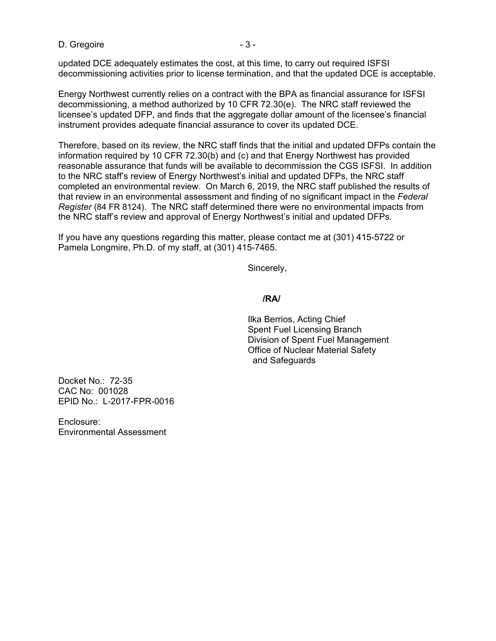D. Gregoire is a set of the set of  $\sim$  3 -

updated DCE adequately estimates the cost, at this time, to carry out required ISFSI decommissioning activities prior to license termination, and that the updated DCE is acceptable.

Energy Northwest currently relies on a contract with the BPA as financial assurance for ISFSI decommissioning, a method authorized by 10 CFR 72.30(e). The NRC staff reviewed the licensee's updated DFP, and finds that the aggregate dollar amount of the licensee's financial instrument provides adequate financial assurance to cover its updated DCE.

Therefore, based on its review, the NRC staff finds that the initial and updated DFPs contain the information required by 10 CFR 72.30(b) and (c) and that Energy Northwest has provided reasonable assurance that funds will be available to decommission the CGS ISFSI. In addition to the NRC staff's review of Energy Northwest's initial and updated DFPs, the NRC staff completed an environmental review. On March 6, 2019, the NRC staff published the results of that review in an environmental assessment and finding of no significant impact in the *Federal Register* (84 FR 8124). The NRC staff determined there were no environmental impacts from the NRC staff's review and approval of Energy Northwest's initial and updated DFPs.

If you have any questions regarding this matter, please contact me at (301) 415-5722 or Pamela Longmire, Ph.D. of my staff, at (301) 415-7465.

Sincerely,

#### **/RA/**

 Ilka Berrios, Acting Chief Spent Fuel Licensing Branch Division of Spent Fuel Management Office of Nuclear Material Safety and Safeguards

Docket No.: 72-35 CAC No: 001028 EPID No.: L-2017-FPR-0016

Enclosure: Environmental Assessment